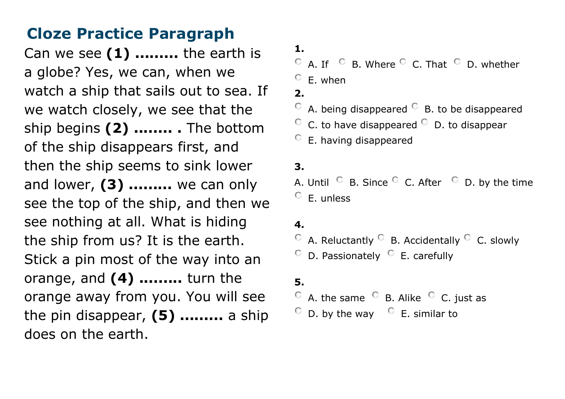Can we see  $(1)$  ......... the earth is a globe? Yes, we can, when we watch a ship that sails out to sea. If we watch closely, we see that the ship begins (2) ........ . The bottom of the ship disappears first, and then the ship seems to sink lower and lower, (3) ......... we can only see the top of the ship, and then we see nothing at all. What is hiding the ship from us? It is the earth. Stick a pin most of the way into an orange, and (4) ......... turn the orange away from you. You will see the pin disappear,  $(5)$  ......... a ship does on the earth.

- 1.
- $\overline{C}$  A. If  $\overline{C}$  B. Where  $\overline{C}$  C. That  $\overline{C}$  D. whether
- $C$  E. when
- 2.
- $\circ$  A. being disappeared  $\circ$  B. to be disappeared
- $\degree$  C. to have disappeared  $\degree$  D. to disappear
- $\circ$  E. having disappeared

### 3.

A. Until  $\heartsuit$  B. Since  $\heartsuit$  C. After  $\heartsuit$  D. by the time  $\circ$  F. unless

### 4.

- $\circ$  A. Reluctantly  $\circ$  B. Accidentally  $\circ$  C. slowly
- $\circ$  D. Passionately  $\circ$  E. carefully

### 5.

- $\circ$  A. the same  $\circ$  B. Alike  $\circ$  C. just as
- $\degree$  D. by the way  $\degree$  E. similar to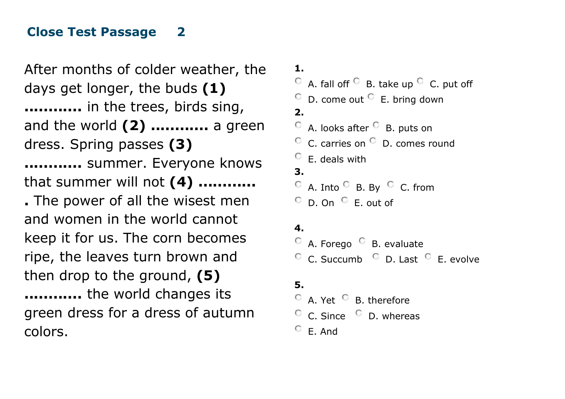## Close Test Passage 2

After months of colder weather, the days get longer, the buds (1) ............ in the trees, birds sing, and the world (2) ............ a green dress. Spring passes (3) ............ summer. Everyone knows that summer will not  $(4)$  ............ . The power of all the wisest men and women in the world cannot keep it for us. The corn becomes ripe, the leaves turn brown and then drop to the ground, (5) ............ the world changes its green dress for a dress of autumn colors.

1.

 $\overline{C}$  A. fall off  $\overline{C}$  B. take up  $\overline{C}$  C. put off

 $\degree$  D. come out  $\degree$  E. bring down

 $2<sub>-</sub>$ 

 $\circ$  A. looks after  $\circ$  B. puts on

- $\degree$  C. carries on  $\degree$  D. comes round
- $\circ$  F. deals with

### 3.

 $\circ$  A. Into  $\circ$  B. By  $\circ$  C. from  $\circ$  D. On  $\circ$  E. out of

### 4.

 $\degree$  A. Forego  $\degree$  B. evaluate  $\degree$  C. Succumb  $\degree$  D. Last  $\degree$  E. evolve

### 5.

 $\circ$  A. Yet  $\circ$  B. therefore  $\degree$  C. Since  $\degree$  D. whereas  $C$  F. And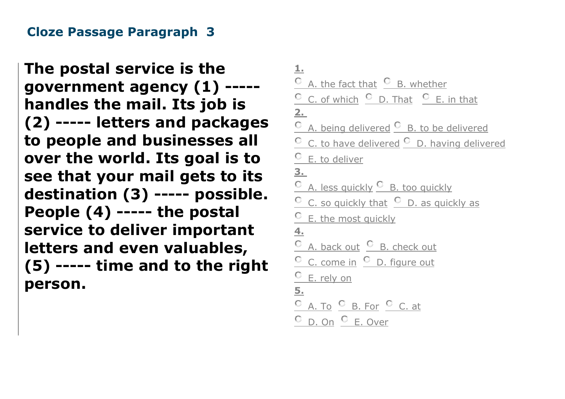## Cloze Passage Paragraph 3

The postal service is the government agency (1) ---- handles the mail. Its job is (2) ----- letters and packages to people and businesses all over the world. Its goal is to see that your mail gets to its destination (3) ----- possible. People (4) ----- the postal service to deliver important letters and even valuables, (5) ----- time and to the right person.

| $\perp$                                                              |
|----------------------------------------------------------------------|
| C A. the fact that C B. whether                                      |
| C C. of which C D. That C E. in that                                 |
| $2_{-}$                                                              |
| C A. being delivered C B. to be delivered                            |
| $\frac{C}{C}$ C. to have delivered $\frac{C}{C}$ D. having delivered |
| <sup>C</sup> E. to deliver                                           |
| 3.                                                                   |
| $\frac{C}{A}$ . less quickly $\frac{C}{B}$ . too quickly             |
| $\frac{C}{C}$ . so quickly that $\frac{C}{C}$ D. as quickly as       |
| <sup>C</sup> E. the most quickly                                     |
| $\overline{4}$ .                                                     |
| C A. back out C B. check out                                         |
| C C. come in C D. figure out                                         |
| C E. rely on                                                         |
| 5 <sub>1</sub>                                                       |
| C A. To C B. For C C. at                                             |
| <sup>O</sup> D. On <sup>O</sup> E. Over                              |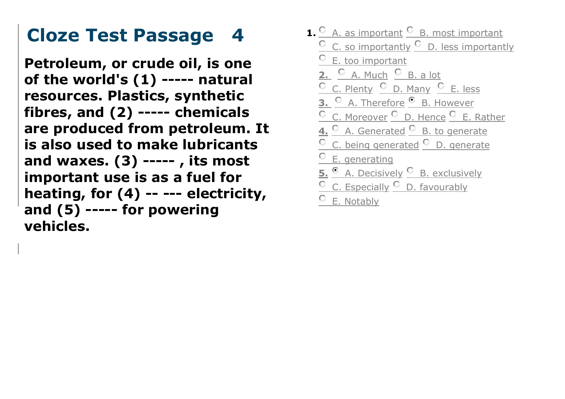# Cloze Test Passage 4

Petroleum, or crude oil, is one of the world's (1) ----- natural resources. Plastics, synthetic fibres, and (2) ----- chemicals are produced from petroleum. It is also used to make lubricants and waxes. (3) ----- , its most important use is as a fuel for heating, for (4) -- --- electricity, and (5) ----- for powering vehicles.

**1.**  $\frac{C}{A}$ . A. as important  $\frac{C}{B}$ . most important  $\circ$  C. so importantly  $\circ$  D. less importantly E. too important 2. <sup>C</sup> A. Much <sup>C</sup> B. a lot C C. Plenty C D. Many C E. less  $\frac{\circ}{\circ}$  A. Therefore  $\frac{\circ}{\circ}$  B. However C. Moreover C D. Hence C E. Rather 4. C A. Generated C B. to generate C. being generated <sup>C</sup> D. generate **C** E. generating 5. C A. Decisively C B. exclusively  $\circ$  C. Especially  $\circ$  D. favourably  $\circ$  E. Notably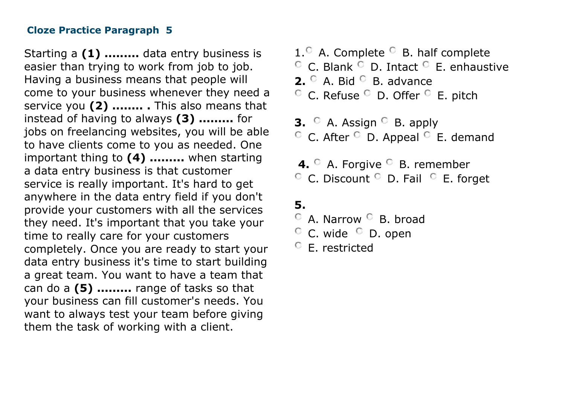Starting a (1) ......... data entry business is easier than trying to work from job to job. Having a business means that people will come to your business whenever they need a service you (2) ......... This also means that instead of having to always (3) ......... for jobs on freelancing websites, you will be able to have clients come to you as needed. One important thing to (4) ......... when starting a data entry business is that customer service is really important. It's hard to get anywhere in the data entry field if you don't provide your customers with all the services they need. It's important that you take your time to really care for your customers completely. Once you are ready to start your data entry business it's time to start building a great team. You want to have a team that can do a (5) ......... range of tasks so that your business can fill customer's needs. You want to always test your team before giving them the task of working with a client.

- $1.$ <sup> $\circ$ </sup> A. Complete  $\circ$  B. half complete  $\circ$  C. Blank  $\circ$  D. Intact  $\circ$  E. enhaustive **2.**  $\circ$  A. Bid  $\circ$  B. advance  $\circ$  C. Refuse  $\circ$  D. Offer  $\circ$  E. pitch
- **3.**  $\circ$  A. Assign  $\circ$  B. apply  $\circ$  C. After  $\circ$  D. Appeal  $\circ$  E. demand
- 4. A. Forgive B. remember  $\circ$  C. Discount  $\circ$  D. Fail  $\circ$  E. forget

## 5.

- $\degree$  A. Narrow  $\degree$  B. broad
- $\circ$  C. wide  $\circ$  D. open
- E. restricted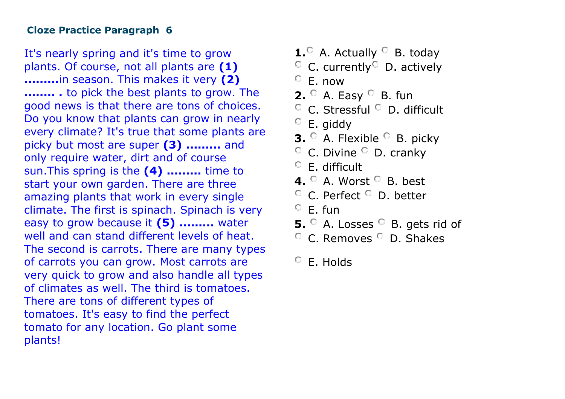It's nearly spring and it's time to grow plants. Of course, not all plants are (1) .........in season. This makes it very (2) ........ . to pick the best plants to grow. The good news is that there are tons of choices. Do you know that plants can grow in nearly every climate? It's true that some plants are picky but most are super (3) ......... and only require water, dirt and of course sun. This spring is the (4) ......... time to start your own garden. There are three amazing plants that work in every single climate. The first is spinach. Spinach is very easy to grow because it (5) ......... water well and can stand different levels of heat. The second is carrots. There are many types of carrots you can grow. Most carrots are very quick to grow and also handle all types of climates as well. The third is tomatoes. There are tons of different types of tomatoes. It's easy to find the perfect tomato for any location. Go plant some plants!

- **1.** A. Actually  $\circ$  B. today
- $\circ$  C. currently D. actively
- $C$  F. now
- **2.**  $\circ$  A. Easy  $\circ$  B. fun
- $\degree$  C. Stressful  $\degree$  D. difficult
- E. giddy
- **3.**  $\circ$  A. Flexible  $\circ$  B. picky
- $\circ$  C. Divine  $\circ$  D. cranky
- $\circ$  F difficult
- 4.  $\circ$  A. Worst  $\circ$  B. best
- $\degree$  C. Perfect  $\degree$  D. better
- $C$  F. fun
- **5.**  $\circ$  A. Losses  $\circ$  B. gets rid of
- <sup>C</sup> C. Removes <sup>C</sup> D. Shakes

<sup>C</sup> E. Holds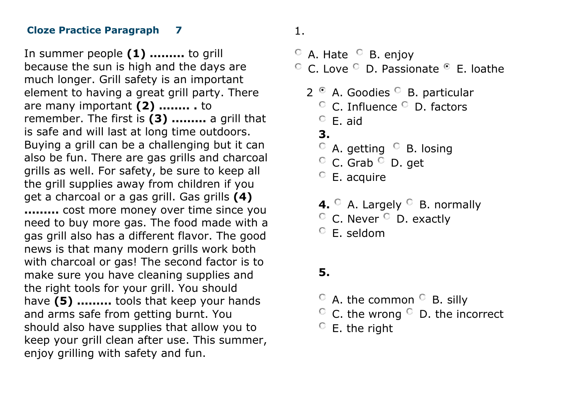In summer people (1) ......... to grill because the sun is high and the days are much longer. Grill safety is an important element to having a great grill party. There are many important (2) ........ . to remember. The first is (3) ......... a grill that is safe and will last at long time outdoors. Buying a grill can be a challenging but it can also be fun. There are gas grills and charcoal grills as well. For safety, be sure to keep all the grill supplies away from children if you get a charcoal or a gas grill. Gas grills (4) ......... cost more money over time since you need to buy more gas. The food made with a gas grill also has a different flavor. The good news is that many modern grills work both with charcoal or gas! The second factor is to make sure you have cleaning supplies and the right tools for your grill. You should have (5) ......... tools that keep your hands and arms safe from getting burnt. You should also have supplies that allow you to keep your grill clean after use. This summer, enjoy grilling with safety and fun.

## 1.

- $\circ$  A. Hate  $\circ$  B. enjoy  $\degree$  C. Love  $\degree$  D. Passionate  $\degree$  E. loathe
	- $2^{\circ}$  A. Goodies  $^{\circ}$  B. particular C. Influence C D. factors  $C$  F. aid. 3.  $\circ$  A. getting  $\circ$  B. losing  $\circ$  C. Grab  $\circ$  D. get  $\degree$  E. acquire 4.  $\circ$  A. Largely  $\circ$  B. normally  $\degree$  C. Never  $\degree$  D. exactly
		- $\circ$  E. seldom

## 5.

- $\circ$  A. the common  $\circ$  B. silly
- $\circ$  C. the wrong  $\circ$  D. the incorrect
- $C$  E. the right